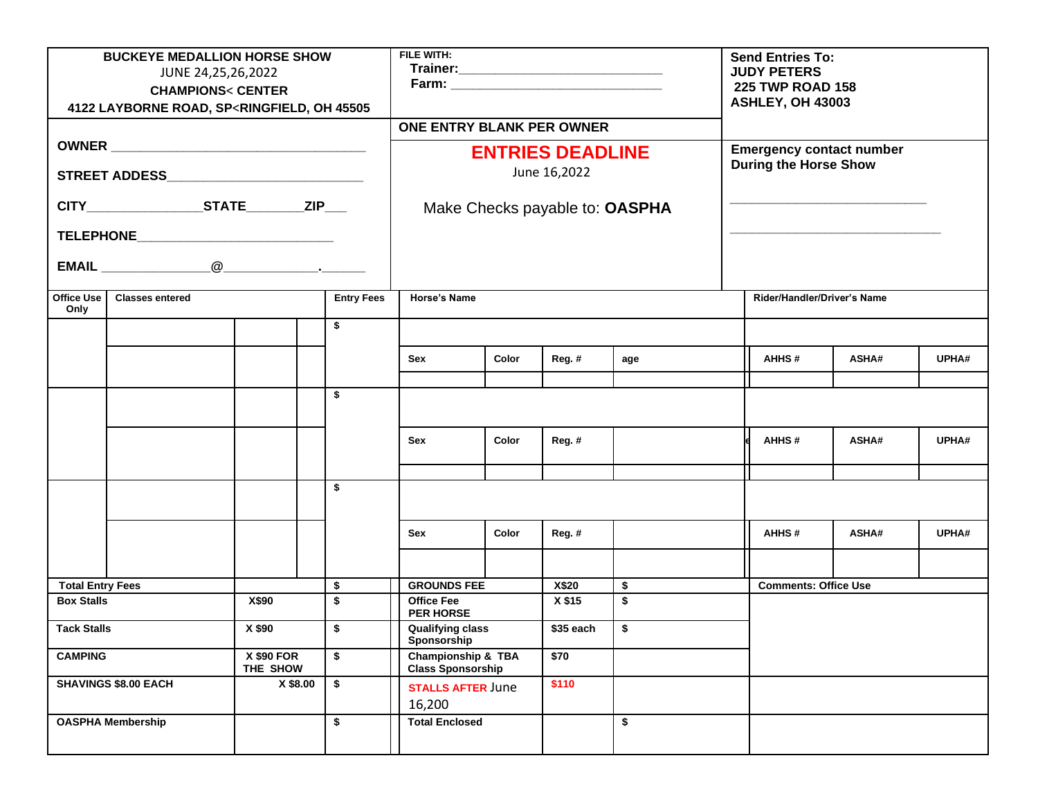| <b>BUCKEYE MEDALLION HORSE SHOW</b><br>JUNE 24,25,26,2022<br><b>CHAMPIONS&lt; CENTER</b><br>4122 LAYBORNE ROAD, SP <ringfield, 45505<="" oh="" th=""><th colspan="4">FILE WITH:</th><th></th><th colspan="4"><b>Send Entries To:</b><br/><b>JUDY PETERS</b><br/><b>225 TWP ROAD 158</b><br/>ASHLEY, OH 43003</th></ringfield,> |                                             |                               |                | FILE WITH:            |                                                           |       |     |                             | <b>Send Entries To:</b><br><b>JUDY PETERS</b><br><b>225 TWP ROAD 158</b><br>ASHLEY, OH 43003 |              |       |  |
|--------------------------------------------------------------------------------------------------------------------------------------------------------------------------------------------------------------------------------------------------------------------------------------------------------------------------------|---------------------------------------------|-------------------------------|----------------|-----------------------|-----------------------------------------------------------|-------|-----|-----------------------------|----------------------------------------------------------------------------------------------|--------------|-------|--|
|                                                                                                                                                                                                                                                                                                                                |                                             |                               |                |                       | <b>ONE ENTRY BLANK PER OWNER</b>                          |       |     |                             |                                                                                              |              |       |  |
|                                                                                                                                                                                                                                                                                                                                |                                             |                               |                |                       | <b>ENTRIES DEADLINE</b>                                   |       |     |                             | <b>Emergency contact number</b>                                                              |              |       |  |
| STREET ADDESS____________________________                                                                                                                                                                                                                                                                                      |                                             |                               |                |                       | June 16,2022                                              |       |     |                             | <b>During the Horse Show</b>                                                                 |              |       |  |
| CITY STATE ZIP                                                                                                                                                                                                                                                                                                                 |                                             |                               |                |                       | Make Checks payable to: OASPHA                            |       |     |                             |                                                                                              |              |       |  |
| TELEPHONE________________________________                                                                                                                                                                                                                                                                                      |                                             |                               |                |                       |                                                           |       |     |                             |                                                                                              |              |       |  |
|                                                                                                                                                                                                                                                                                                                                |                                             |                               |                |                       |                                                           |       |     |                             |                                                                                              |              |       |  |
| Office Use<br>Only                                                                                                                                                                                                                                                                                                             | <b>Entry Fees</b><br><b>Classes entered</b> |                               |                |                       | Horse's Name                                              |       |     |                             | Rider/Handler/Driver's Name                                                                  |              |       |  |
|                                                                                                                                                                                                                                                                                                                                |                                             |                               | \$             |                       |                                                           |       |     |                             |                                                                                              |              |       |  |
|                                                                                                                                                                                                                                                                                                                                |                                             |                               |                | Sex                   | Color                                                     | Reg.# | age |                             | AHHS#                                                                                        | <b>ASHA#</b> | UPHA# |  |
|                                                                                                                                                                                                                                                                                                                                |                                             |                               | \$             |                       |                                                           |       |     |                             |                                                                                              |              |       |  |
|                                                                                                                                                                                                                                                                                                                                |                                             |                               |                |                       |                                                           |       |     |                             |                                                                                              |              |       |  |
|                                                                                                                                                                                                                                                                                                                                |                                             |                               |                | Sex                   | Color                                                     | Reg.# |     |                             | AHHS#                                                                                        | ASHA#        | UPHA# |  |
|                                                                                                                                                                                                                                                                                                                                |                                             |                               |                |                       |                                                           |       |     |                             |                                                                                              |              |       |  |
|                                                                                                                                                                                                                                                                                                                                |                                             |                               | \$             |                       |                                                           |       |     |                             |                                                                                              |              |       |  |
|                                                                                                                                                                                                                                                                                                                                |                                             |                               |                | Sex                   | Color                                                     | Reg.# |     |                             | AHHS#                                                                                        | ASHA#        | UPHA# |  |
|                                                                                                                                                                                                                                                                                                                                |                                             |                               |                |                       |                                                           |       |     |                             |                                                                                              |              |       |  |
| <b>Total Entry Fees</b>                                                                                                                                                                                                                                                                                                        |                                             | \$                            |                | <b>GROUNDS FEE</b>    |                                                           | \$    |     | <b>Comments: Office Use</b> |                                                                                              |              |       |  |
| X\$90<br><b>Box Stalls</b>                                                                                                                                                                                                                                                                                                     |                                             |                               | \$             | <b>Office Fee</b>     | <b>PER HORSE</b>                                          |       | \$  |                             |                                                                                              |              |       |  |
| <b>Tack Stalls</b>                                                                                                                                                                                                                                                                                                             |                                             | X \$90                        | \$             |                       | <b>Qualifying class</b><br>Sponsorship                    |       | \$  |                             |                                                                                              |              |       |  |
| <b>CAMPING</b>                                                                                                                                                                                                                                                                                                                 |                                             | <b>X \$90 FOR</b><br>THE SHOW | \$             |                       | <b>Championship &amp; TBA</b><br><b>Class Sponsorship</b> |       |     |                             |                                                                                              |              |       |  |
| <b>SHAVINGS \$8.00 EACH</b>                                                                                                                                                                                                                                                                                                    |                                             |                               | X \$8.00<br>\$ | 16,200                | <b>STALLS AFTER June</b>                                  |       |     |                             |                                                                                              |              |       |  |
| <b>OASPHA Membership</b>                                                                                                                                                                                                                                                                                                       |                                             |                               | \$             | <b>Total Enclosed</b> |                                                           |       | \$  |                             |                                                                                              |              |       |  |